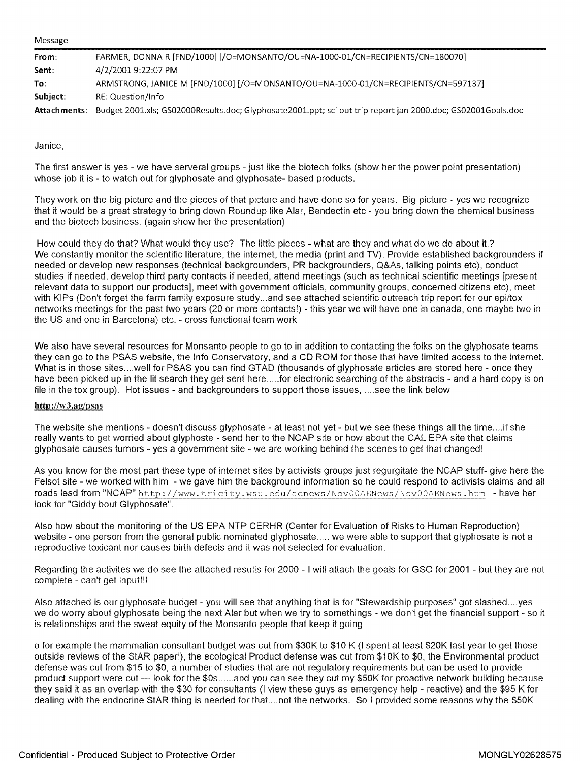| Message |  |
|---------|--|
|---------|--|

| From:        | FARMER, DONNA R [FND/1000] [/O=MONSANTO/OU=NA-1000-01/CN=RECIPIENTS/CN=180070]                              |
|--------------|-------------------------------------------------------------------------------------------------------------|
| Sent:        | 4/2/2001 9:22:07 PM                                                                                         |
| To:          | ARMSTRONG. JANICE M [FND/1000] [/O=MONSANTO/OU=NA-1000-01/CN=RECIPIENTS/CN=597137]                          |
| Subject:     | RE: Question/Info                                                                                           |
| Attachments: | Budget 2001.xls; GS02000Results.doc; Glyphosate2001.ppt; sci out trip report jan 2000.doc; GS02001Goals.doc |

Janice,

The first answer is yes - we have serveral groups - just like the biotech folks (show her the power point presentation) whose job it is - to watch out for glyphosate and glyphosate- based products.

They work on the big picture and the pieces of that picture and have done so for years. Big picture - yes we recognize that it would be a great strategy to bring down Roundup like Alar, Bendectin etc - you bring down the chemical business and the biotech business. (again show her the presentation)

How could they do that? What would they use? The little pieces - what are they and what do we do about it.? We constantly monitor the scientific literature, the internet, the media (print and TV). Provide established backgrounders if needed or develop new responses (technical backgrounders, PR backgrounders, Q&As, talking points etc), conduct studies if needed, develop third party contacts if needed, attend meetings (such as technical scientific meetings [present relevant data to support our products], meet with government officials, community groups, concerned citizens etc), meet with KIPs (Don't forget the farm family exposure study...and see attached scientific outreach trip report for our epi/tox networks meetings for the past two years (20 or more contacts!) - this year we will have one in canada, one maybe two in the US and one in Barcelona) etc. - cross functional team work

We also have several resources for [Monsanto](https://www.baumhedlundlaw.com/) people to go to in addition to contacting the folks on the glyphosate teams they can go to the PSAS website, the Info Conservatory, and <sup>a</sup> CD ROM for those that have limited access to the internet. What is in those sites....well for PSAS you can find GTAD (thousands of glyphosate articles are stored here - once they have been picked up in the lit search they get sent here..... for electronic searching of the abstracts - and a hard copy is on file in the tox group). Hot issues - and backgrounders to support those issues, ....see the link below

## http://w3.ag/psas

The website she mentions - doesn't discuss glyphosate - at least not yet - but we see these things all the time.... if she really wants to get worried about glyphoste - send her to the NCAP site or how about the CAL EPA site that claims glyphosate causes tumors - yes a government site - we are working behind the scenes to get that changed!

As you know for the most part these type of internet sites by activists groups just regurgitate the NCAP stuff- give here the Felsot site - we worked with him - we gave him the background information so he could respond to activists claims and all roads lead from "NCAP" http://www.tricity.wsu.edu/aenews/Nov00AENews/Nov00AENews.htm - have her look for "Giddy bout Glyphosate".

Also how about the monitoring of the US EPA NTP CERHR (Center for Evaluation of Risks to Human Reproduction) website - one person from the general public nominated glyphosate..... we were able to support that glyphosate is not a reproductive toxicant nor causes birth defects and it was not selected for evaluation.

Regarding the activites we do see the attached results for 2000 - <sup>I</sup> will attach the goals for GSO for <sup>2001</sup> - but they are not complete - can't get input!!!

Also attached is our glyphosate budget - you will see that anything that is for "Stewardship purposes" got slashed.... yes we do worry about glyphosate being the next Alar but when we try to somethings - we don't get the financial support - so it is relationships and the sweat equity of the Monsanto people that keep it going

o for example the mammalian consultant budget was cut from \$30K to \$10 K (I spent at least \$20K last year to get those outside reviews of the StAR paper!), the ecological Product defense was cut from \$1 OK to \$0, the Environmental product defense was cut from \$15 to \$0, a number of studies that are not regulatory requirements but can be used to provide product support were cut --- look for the \$Os......and you can see they cut my \$50K for proactive network building because they said it as an overlap with the \$30 for consultants (I view these guys as emergency help - reactive) and the \$95 K for dealing with the endocrine StAR thing is needed for that.... not the networks. So <sup>I</sup> provided some reasons why the \$50K